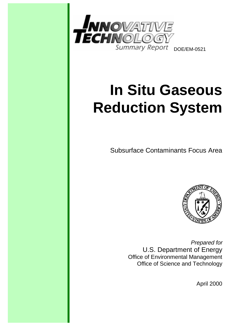

# **In Situ Gaseous Reduction System**

Subsurface Contaminants Focus Area



Prepared for U.S. Department of Energy Office of Environmental Management Office of Science and Technology

April 2000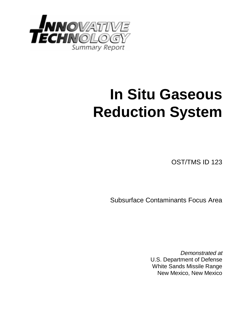

# **In Situ Gaseous Reduction System**

OST/TMS ID 123

Subsurface Contaminants Focus Area

Demonstrated at U.S. Department of Defense White Sands Missile Range New Mexico, New Mexico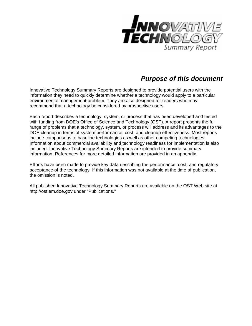

# **Purpose of this document**

Innovative Technology Summary Reports are designed to provide potential users with the information they need to quickly determine whether a technology would apply to a particular environmental management problem. They are also designed for readers who may recommend that a technology be considered by prospective users.

Each report describes a technology, system, or process that has been developed and tested with funding from DOE's Office of Science and Technology (OST). A report presents the full range of problems that a technology, system, or process will address and its advantages to the DOE cleanup in terms of system performance, cost, and cleanup effectiveness. Most reports include comparisons to baseline technologies as well as other competing technologies. Information about commercial availability and technology readiness for implementation is also included. Innovative Technology Summary Reports are intended to provide summary information. References for more detailed information are provided in an appendix.

Efforts have been made to provide key data describing the performance, cost, and regulatory acceptance of the technology. If this information was not available at the time of publication, the omission is noted.

All published Innovative Technology Summary Reports are available on the OST Web site at http://ost.em.doe.gov under "Publications."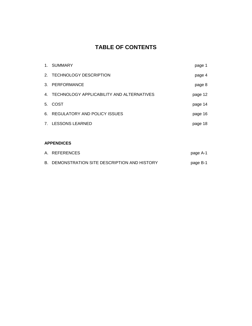# **TABLE OF CONTENTS**

|             | 1. SUMMARY                                   | page 1  |
|-------------|----------------------------------------------|---------|
|             | 2. TECHNOLOGY DESCRIPTION                    | page 4  |
|             | 3. PERFORMANCE                               | page 8  |
|             | 4. TECHNOLOGY APPLICABILITY AND ALTERNATIVES | page 12 |
|             | 5. COST                                      | page 14 |
|             | 6. REGULATORY AND POLICY ISSUES              | page 16 |
| $7_{\cdot}$ | <b>LESSONS LEARNED</b>                       | page 18 |

## **APPENDICES**

| A. REFERENCES                                 | page A-1 |
|-----------------------------------------------|----------|
| B. DEMONSTRATION SITE DESCRIPTION AND HISTORY | page B-1 |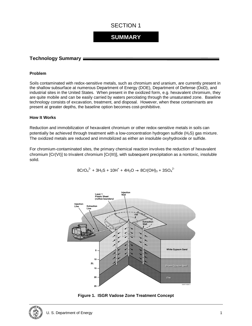# **SUMMARY**

### **Technology Summary**

#### **Problem**

Soils contaminated with redox-sensitive metals, such as chromium and uranium, are currently present in the shallow subsurface at numerous Department of Energy (DOE), Department of Defense (DoD), and industrial sites in the United States. When present in the oxidized form, e.g. hexavalent chromium, they are quite mobile and can be easily carried by waters percolating through the unsaturated zone. Baseline technology consists of excavation, treatment, and disposal. However, when these contaminants are present at greater depths, the baseline option becomes cost-prohibitive.

#### **How It Works**

Reduction and immobilization of hexavalent chromium or other redox-sensitive metals in soils can potentially be achieved through treatment with a low-concentration hydrogen sulfide (H<sub>2</sub>S) gas mixture. The oxidized metals are reduced and immobilized as either an insoluble oxyhydroxide or sulfide.

For chromium-contaminated sites, the primary chemical reaction involves the reduction of hexavalent chromium [Cr(VI)] to trivalent chromium [Cr(III)], with subsequent precipitation as a nontoxic, insoluble solid.

 $8CrO_4^2 + 3H_2S + 10H^+ + 4H_2O \rightarrow 8Cr(OH)_3 + 3SO_4^2$ 





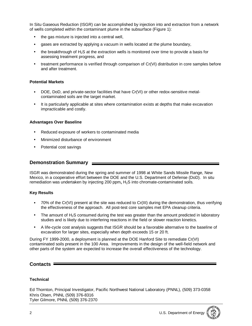In Situ Gaseous Reduction (ISGR) can be accomplished by injection into and extraction from a network of wells completed within the contaminant plume in the subsurface (Figure 1):

- the gas mixture is injected into a central well,
- gases are extracted by applying a vacuum in wells located at the plume boundary,
- the breakthrough of  $H_2S$  at the extraction wells is monitored over time to provide a basis for assessing treatment progress, and
- treatment performance is verified through comparison of Cr(VI) distribution in core samples before and after treatment.

#### **Potential Markets**

- DOE, DoD, and private-sector facilities that have Cr(VI) or other redox-sensitive metalcontaminated soils are the target market.
- It is particularly applicable at sites where contamination exists at depths that make excavation impracticable and costly.

#### **Advantages Over Baseline**

- Reduced exposure of workers to contaminated media
- Minimized disturbance of environment
- Potential cost savings

#### **Demonstration Summary**

ISGR was demonstrated during the spring and summer of 1998 at White Sands Missile Range, New Mexico, in a cooperative effort between the DOE and the U.S. Department of Defense (DoD). In situ remediation was undertaken by injecting 200  $ppm<sub>v</sub> H<sub>2</sub>S$  into chromate-contaminated soils.

#### **Key Results**

- 70% of the Cr(VI) present at the site was reduced to Cr(III) during the demonstration, thus verifying the effectiveness of the approach. All post-test core samples met EPA cleanup criteria.
- The amount of  $H_2S$  consumed during the test was greater than the amount predicted in laboratory studies and is likely due to interfering reactions in the field or slower reaction kinetics.
- A life-cycle cost analysis suggests that ISGR should be a favorable alternative to the baseline of excavation for larger sites, especially when depth exceeds 15 or 20 ft.

During FY 1999-2000, a deployment is planned at the DOE Hanford Site to remediate Cr(VI) contaminated soils present in the 100 Area. Improvements in the design of the well-field network and other parts of the system are expected to increase the overall effectiveness of the technology.

#### **Contacts**

#### **Technical**

Ed Thornton, Principal Investigator, Pacific Northwest National Laboratory (PNNL), (509) 373-0358 Khris Olsen, PNNL (509) 376-8316 Tyler Gilmore, PNNL (509) 376-2370

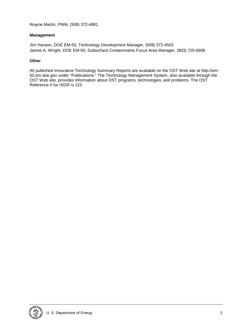#### **Management**

Jim Hanson, DOE EM-50, Technology Development Manager, (509) 372-4503 James A. Wright, DOE EM-50, Subsurface Contaminants Focus Area Manager, (803) 725-5608

#### **Other**

All published Innovative Technology Summary Reports are available on the OST Web site at http://em-50.em.doe.gov under "Publications." The Technology Management System, also available through the OST Web site, provides information about OST programs, technologies, and problems. The OST Reference # for ISGR is 123.

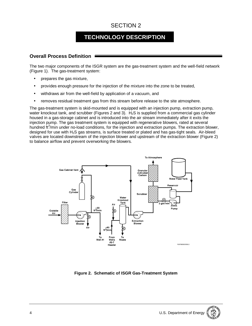# **TECHNOLOGY DESCRIPTION**

## **Overall Process Definition**

The two major components of the ISGR system are the gas-treatment system and the well-field network (Figure 1). The gas-treatment system:

- prepares the gas mixture,
- provides enough pressure for the injection of the mixture into the zone to be treated,
- withdraws air from the well-field by application of a vacuum, and
- removes residual treatment gas from this stream before release to the site atmosphere.

The gas-treatment system is skid-mounted and is equipped with an injection pump, extraction pump, water knockout tank, and scrubber (Figures 2 and 3).  $H_2S$  is supplied from a commercial gas cylinder housed in a gas-storage cabinet and is introduced into the air stream immediately after it exits the injection pump. The gas treatment system is equipped with regenerative blowers, rated at several hundred ft<sup>3</sup>/min under no-load conditions, for the injection and extraction pumps. The extraction blower, designed for use with  $H_2S$  gas streams, is surface treated or plated and has gas-tight seals. Air-bleed valves are located downstream of the injection blower and upstream of the extraction blower (Figure 2) to balance airflow and prevent overworking the blowers.



**Figure 2. Schematic of ISGR Gas-Treatment System**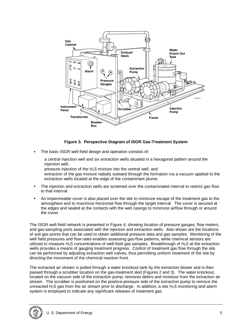

### **Figure 3. Perspective Diagram of ISGR Gas-Treatment System**

- The basic ISGR well-field design and operation consists of:
	- a central injection well and six extraction wells situated in a hexagonal pattern around the injection well,
- pressure injection of the H2S mixture into the central well, and
- extraction of the gas mixture radially outward through the formation via a vacuum applied to the extraction wells located at the edge of the contaminant plume.
- The injection and extraction wells are screened over the contaminated interval to restrict gas flow to that interval.
- An impermeable cover is also placed over the site to minimize escape of the treatment gas to the atmosphere and to maximize horizontal flow through the target interval. The cover is secured at the edges and sealed at the contacts with the well casings to minimize airflow through or around the cover.

The ISGR well-field network is presented in Figure 4, showing location of pressure gauges, flow meters, and gas-sampling ports associated with the injection and extraction wells. Also shown are the locations of soil-gas points that can be used to obtain additional pressure data and gas samples. Monitoring of the well field pressures and flow rates enables assessing gas-flow patterns, while chemical sensors are utilized to measure  $H_2S$  concentrations of well-field gas samples. Breakthrough of  $H_2S$  at the extraction wells provides a means of gauging treatment progress. Control of treatment gas flow through the site can be performed by adjusting extraction well valves, thus permitting uniform treatment of the site by directing the movement of the chemical reaction front.

The extracted air stream is pulled through a water knockout tank by the extraction blower and is then passed through a scrubber location on the gas-treatment skid (Figures 2 and 3). The water knockout, located on the vacuum side of the extraction pump, removes debris and moisture from the extraction air stream. The scrubber is positioned on the positive-pressure side of the extraction pump to remove the unreacted H<sub>2</sub>S gas from the air stream prior to discharge. In addition, a site H<sub>2</sub>S monitoring and alarm system is employed to indicate any significant releases of treatment gas.

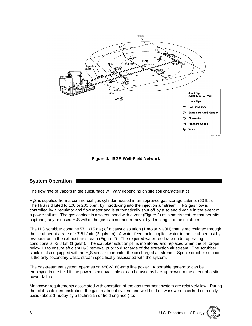

**Figure 4**. **ISGR Well-Field Network**

## **System Operation**

The flow rate of vapors in the subsurface will vary depending on site soil characteristics.

H2S is supplied from a commercial gas cylinder housed in an approved gas-storage cabinet (60 lbs). The H<sub>2</sub>S is diluted to 100 or 200 ppm<sub>y</sub> by introducing into the injection air stream. H<sub>2</sub>S gas flow is controlled by a regulator and flow meter and is automatically shut off by a solenoid valve in the event of a power failure. The gas cabinet is also equipped with a vent (Figure 2) as a safety feature that permits capturing any released H2S within the gas cabinet and removal by directing it to the scrubber.

The H<sub>2</sub>S scrubber contains 57 L (15 gal) of a caustic solution (1 molar NaOH) that is recirculated through the scrubber at a rate of ~7.6 L/min (2 gal/min). A water-feed tank supplies water to the scrubber lost by evaporation in the exhaust air stream (Figure 2). The required water-feed rate under operating conditions is ~3.8 L/h (1 gal/h). The scrubber solution pH is monitored and replaced when the pH drops below 10 to ensure efficient H<sub>2</sub>S removal prior to discharge of the extraction air stream. The scrubber stack is also equipped with an H<sub>2</sub>S sensor to monitor the discharged air stream. Spent scrubber solution is the only secondary waste stream specifically associated with the system.

The gas-treatment system operates on 480-V, 60-amp line power. A portable generator can be employed in the field if line power is not available or can be used as backup power in the event of a site power failure.

Manpower requirements associated with operation of the gas treatment system are relatively low. During the pilot-scale demonstration, the gas treatment system and well-field network were checked on a daily basis (about 1 hr/day by a technician or field engineer) to: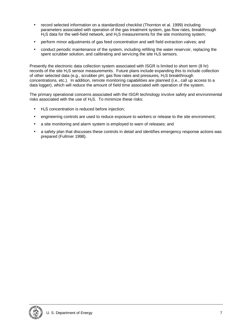- record selected information on a standardized checklist (Thornton et al. 1999) including parameters associated with operation of the gas treatment system, gas flow rates, breakthrough  $H<sub>2</sub>S$  data for the well-field network, and  $H<sub>2</sub>S$  measurements for the site monitoring system;
- perform minor adjustments of gas feed concentration and well field extraction valves; and
- conduct periodic maintenance of the system, including refilling the water reservoir, replacing the spent scrubber solution, and calibrating and servicing the site  $H_2S$  sensors.

Presently the electronic data collection system associated with ISGR is limited to short term (8 hr) records of the site H2S sensor measurements. Future plans include expanding this to include collection of other selected data (e.g., scrubber pH, gas flow rates and pressures, H2S breakthrough concentrations, etc.). In addition, remote monitoring capabilities are planned (i.e., call up access to a data logger), which will reduce the amount of field time associated with operation of the system.

The primary operational concerns associated with the ISGR technology involve safety and environmental risks associated with the use of  $H_2S$ . To minimize these risks:

- $H<sub>2</sub>S$  concentration is reduced before injection;
- engineering controls are used to reduce exposure to workers or release to the site environment;
- a site monitoring and alarm system is employed to warn of releases; and
- a safety plan that discusses these controls in detail and identifies emergency response actions was prepared (Fullmer 1998).

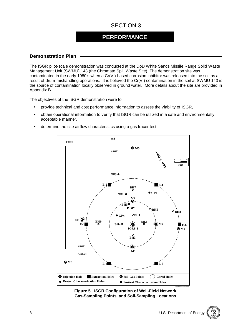## **PERFORMANCE**

### **Demonstration Plan**

The ISGR pilot-scale demonstration was conducted at the DoD White Sands Missile Range Solid Waste Management Unit (SWMU) 143 (the Chromate Spill Waste Site). The demonstration site was contaminated in the early 1980's when a Cr(VI)-based corrosion inhibitor was released into the soil as a result of drum-mishandling operations. It is believed the Cr(VI) contamination in the soil at SWMU 143 is the source of contamination locally observed in ground water. More details about the site are provided in Appendix B.

The objectives of the ISGR demonstration were to:

- provide technical and cost performance information to assess the viability of ISGR,
- obtain operational information to verify that ISGR can be utilized in a safe and environmentally acceptable manner,
- determine the site airflow characteristics using a gas tracer test.



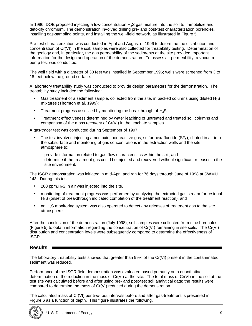In 1996, DOE proposed injecting a low-concentration H<sub>2</sub>S gas mixture into the soil to immobilize and detoxify chromium. The demonstration involved drilling pre- and post-test characterization boreholes, installing gas-sampling points, and installing the well-field network, as illustrated in Figure 5.

Pre-test characterization was conducted in April and August of 1996 to determine the distribution and concentration of Cr(VI) in the soil; samples were also collected for treatability testing. Determination of the geology and, in particular, the gas permeability of the sediments at the site provided important information for the design and operation of the demonstration. To assess air permeability, a vacuum pump test was conducted.

The well field with a diameter of 30 feet was installed in September 1996; wells were screened from 3 to 18 feet below the ground surface.

A laboratory treatability study was conducted to provide design parameters for the demonstration. The treatability study included the following:

- Gas treatment of a sediment sample, collected from the site, in packed columns using diluted  $H_2S$ mixtures (Thornton et al. 1999);
- Treatment progress assessed by monitoring the breakthrough of  $H_2S$ ;
- Treatment effectiveness determined by water leaching of untreated and treated soil columns and comparison of the mass recovery of Cr(VI) in the leachate samples.

A gas-tracer test was conducted during September of 1997.

- The test involved injecting a nontoxic, nonreactive gas, sulfur hexafluoride  $(SF_6)$ , diluted in air into the subsurface and monitoring of gas concentrations in the extraction wells and the site atmosphere to:
	- provide information related to gas-flow characteristics within the soil, and
	- determine if the treatment gas could be injected and recovered without significant releases to the site environment.

The ISGR demonstration was initiated in mid-April and ran for 76 days through June of 1998 at SWMU 143. During this test:

- 200 ppm $_{v}H_{2}S$  in air was injected into the site,
- monitoring of treatment progress was performed by analyzing the extracted gas stream for residual H2S (onset of breakthrough indicated completion of the treatment reaction), and
- an H<sub>2</sub>S monitoring system was also operated to detect any releases of treatment gas to the site atmosphere.

After the conclusion of the demonstration (July 1998), soil samples were collected from nine boreholes (Figure 5) to obtain information regarding the concentration of Cr(VI) remaining in site soils. The Cr(VI) distribution and concentration levels were subsequently compared to determine the effectiveness of ISGR.

## **Results**

The laboratory treatability tests showed that greater than 99% of the Cr(VI) present in the contaminated sediment was reduced.

Performance of the ISGR field demonstration was evaluated based primarily on a quantitative determination of the reduction in the mass of Cr(VI) at the site. The total mass of Cr(VI) in the soil at the test site was calculated before and after using pre- and post-test soil analytical data; the results were compared to determine the mass of Cr(VI) reduced during the demonstration.

The calculated mass of Cr(VI) per two-foot intervals before and after gas-treatment is presented in Figure 6 as a function of depth. This figure illustrates the following.

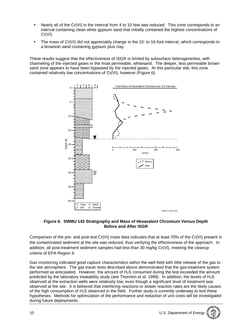- Nearly all of the Cr(VI) in the interval from 4 to 10 feet was reduced. This zone corresponds to an interval containing clean white gypsum sand that initially contained the highest concentrations of Cr(VI).
- The mass of Cr(VI) did not appreciably change in the 10- to 16-foot interval, which corresponds to a brownish sand containing gypsum plus clay.

These results suggest that the effectiveness of ISGR is limited by subsurface heterogeneities, with channeling of the injected gases in the most permeable, whitesand. The deeper, less permeable brownsand zone appears to have been bypassed by the injected gases. At this particular site, this zone contained relatively low concentrations of Cr(VI), however (Figure 6).



**Figure 6. SWMU 143 Stratigraphy and Mass of Hexavalent Chromium Versus Depth Before and After ISGR**

Comparison of the pre- and post-test Cr(VI) mass data indicates that at least 70% of the Cr(VI) present in the contaminated sediment at the site was reduced, thus verifying the effectiveness of the approach. In addition, all post-treatment sediment samples had less than 30 mg/kg Cr(VI), meeting the cleanup criteria of EPA Region 9.

Gas monitoring indicated good capture characteristics within the well-field with little release of the gas to the site atmosphere. The gas tracer tests described above demonstrated that the gas-treatment system performed as anticipated. However, the amount of H2S consumed during the test exceeded the amount predicted by the laboratory treatability study (see Thornton et al. 1999). In addition, the levels of H<sub>2</sub>S observed at the extraction wells were relatively low, even though a significant level of treatment was observed at the site. It is believed that interfering reactions or slower reaction rates are the likely causes of the high consumption of H2S observed in the field. Further study is currently underway to test these hypotheses. Methods for optimization of the performance and reduction of unit costs will be investigated during future deployments.

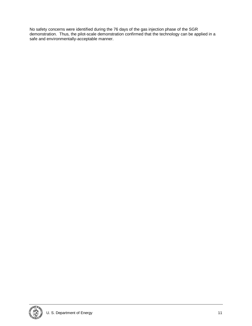No safety concerns were identified during the 76 days of the gas injection phase of the SGR demonstration. Thus, the pilot-scale demonstration confirmed that the technology can be applied in a safe and environmentally-acceptable manner.

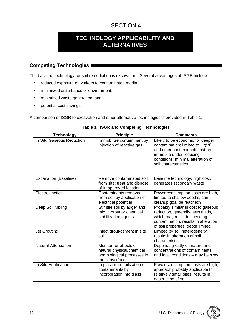# **TECHNOLOGY APPLICABILITY AND ALTERNATIVES**

## **Competing Technologies**

The baseline technology for soil remediation is excavation. Several advantages of ISGR include:

- reduced exposure of workers to contaminated media,
- minimized disturbance of environment,
- minimized waste generation, and
- potential cost savings.

A comparison of ISGR to excavation and other alternative technologies is provided in Table 1.

| <b>Technology</b>          | <b>Principle</b>                                                                                     | <b>Comments</b>                                                                                                                                                                                 |
|----------------------------|------------------------------------------------------------------------------------------------------|-------------------------------------------------------------------------------------------------------------------------------------------------------------------------------------------------|
| In Situ Gaseous Reduction  | Immobilize contaminant by<br>injection of reactive gas                                               | Likely to be economic for deeper<br>contamination; limited to Cr(VI)<br>and other contaminants that are<br>immobile under reducing<br>conditions; minimal alteration of<br>soil characteristics |
| Excavation (Baseline)      | Remove contaminated soil<br>from site; treat and dispose<br>of in approved location                  | Baseline technology; high cost,<br>generates secondary waste                                                                                                                                    |
| Electrokinetics            | Contaminants removed<br>from soil by application of<br>electrical potential                          | Power consumption costs are high,<br>limited to shallow depths; can<br>cleanup goal be reached?                                                                                                 |
| Deep Soil Mixing           | Stir site soil by auger and<br>mix in grout or chemical<br>stabilization agents                      | Probably similar in cost to gaseous<br>reduction, generally uses fluids,<br>which may result in speading<br>contamination, results in alteration<br>of soil properties; depth limited           |
| Jet Grouting               | Inject grout/cement in site<br>soil                                                                  | Limited by soil heterogeneity,<br>results in alteration of soil<br>characteristics                                                                                                              |
| <b>Natural Attenuation</b> | Monitor for effects of<br>natural physical/chemical<br>and biological processes in<br>the subsurface | Depends greatly on nature and<br>concentrations of contaminants<br>and local conditions - may be slow                                                                                           |
| In Situ Vitrification      | In place immobilization of<br>contaminants by<br>incorporation into glass                            | Power consumption costs are high,<br>approach probably applicable to<br>relatively small sites, results in<br>destruction of soil                                                               |

**Table 1. ISGR and Competing Technologies**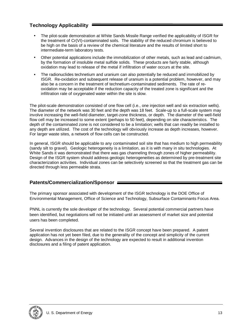## **Technology Applicability**

- The pilot-scale demonstration at White Sands Missile Range verified the applicability of ISGR for the treatment of Cr(VI)-contaminated soils. The stability of the reduced chromium is believed to be high on the basis of a review of the chemical literature and the results of limited short to intermediate-term laboratory tests.
- Other potential applications include the immobilization of other metals, such as lead and cadmium, by the formation of insoluble metal sulfide solids. These products are fairly stable, although oxidation may lead to release of the metal if infiltration of water occurs at the site.
- The radionuclides technetium and uranium can also potentially be reduced and immobilized by ISGR. Re-oxidation and subsequent release of uranium is a potential problem, however, and may also be a concern in the treatment of technetium-contaminated sediments. The rate of reoxidation may be acceptable if the reduction capacity of the treated zone is significant and the infiltration rate of oxygenated water within the site is slow.

The pilot-scale demonstration consisted of one flow cell (i.e., one injection well and six extraction wells). The diameter of the network was 30 feet and the depth was 18 feet. Scale-up to a full-scale system may involve increasing the well-field diameter, target-zone thickness, or depth. The diameter of the well-field flow cell may be increased to some extent (perhaps to 50 feet), depending on site characteristics. The depth of the contaminated zone is not considered to be a limitation; wells that can readily be installed to any depth are utilized. The cost of the technology will obviously increase as depth increases, however. For larger waste sites, a network of flow cells can be constructed.

In general. ISGR should be applicable to any contaminated soil site that has medium to high permeability (sandy silt to gravel). Geologic heterogeneity is a limitation, as it is with many in situ technologies. At White Sands it was demonstrated that there was gas channeling through zones of higher permeability. Design of the ISGR system should address geologic heterogeneities as determined by pre-treatment site characterization activities. Individual zones can be selectively screened so that the treatment gas can be directed through less permeable strata.

## **Patents/Commercialization/Sponsor**

The primary sponsor associated with development of the ISGR technology is the DOE Office of Environmental Management, Office of Science and Technology, Subsurface Contaminants Focus Area.

PNNL is currently the sole developer of the technology. Several potential commercial partners have been identified, but negotiations will not be initiated until an assessment of market size and potential users has been completed.

Several invention disclosures that are related to the ISGR concept have been prepared. A patent application has not yet been filed, due to the generality of the concept and simplicity of the current design. Advances in the design of the technology are expected to result in additional invention disclosures and a filing of patent application.

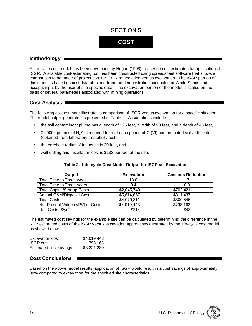# **COST**

### **Methodology**

A life-cycle cost model has been developed by Hogan (1998) to provide cost estimates for application of ISGR. A scalable cost-estimating tool has been constructed using spreadsheet software that allows a comparison to be made of project cost for ISGR remediation versus excavation. The ISGR portion of this model is based on cost data obtained from the demonstration conducted at White Sands and accepts input by the user of site-specific data. The excavation portion of the model is scaled on the basis of several parameters associated with mining operations.

## **Cost Analysis**

The following cost estimate illustrates a comparison of ISGR versus excavation for a specific situation. The model output generated is presented in Table 2. Assumptions include:

- the soil contaminant plume has a length of 125 feet, a width of 90 feet, and a depth of 45 feet,
- 0.00004 pounds of  $H_2S$  is required to treat each pound of  $Cr(VI)$ -contaminated soil at the site (obtained from laboratory treatability tests),
- the borehole radius of influence is 20 feet, and
- well drilling and installation cost is \$133 per foot at the site.

| Output                             | <b>Excavation</b> | <b>Gaseous Reduction</b> |  |  |
|------------------------------------|-------------------|--------------------------|--|--|
| Total Time to Treat, weeks         | 18.8              | 17                       |  |  |
| Total Time to Treat, years         | 0.4               | 0.3                      |  |  |
| <b>Total Capital/Startup Costs</b> | \$2,045,743       | \$702,421                |  |  |
| Annual O&M/Disposal Costs          | \$5,614,667       | \$311,437                |  |  |
| <b>Total Costs</b>                 | \$4,070,811       | \$800,545                |  |  |
| Net Present Value (NPV) of Costs   | \$4,019,443       | \$798,163                |  |  |
| Unit Costs, \$/yd <sup>3</sup>     | \$214             | \$43                     |  |  |

#### **Table 2. Life-cycle Cost Model Output for ISGR vs. Excavation**

The estimated cost savings for the example site can be calculated by determining the difference in the NPV estimated costs of the ISGR versus excavation approaches generated by the life-cycle cost model as shown below.

| Excavation cost        | \$4,019,443 |
|------------------------|-------------|
| <b>ISGR</b> cost       | 798.163     |
| Estimated cost savings | \$3,221,280 |

## **Cost Conclusions**

Based on the above model results, application of ISGR would result in a cost savings of approximately 80% compared to excavation for the specified site characteristics.

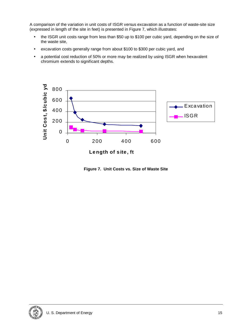A comparison of the variation in unit costs of ISGR versus excavation as a function of waste-site size (expressed in length of the site in feet) is presented in Figure 7, which illustrates:

- the ISGR unit costs range from less than \$50 up to \$100 per cubic yard, depending on the size of the waste site,
- excavation costs generally range from about \$100 to \$300 per cubic yard, and
- a potential cost reduction of 50% or more may be realized by using ISGR when hexavalent chromium extends to significant depths.



**Length of site, ft**

**Figure 7. Unit Costs vs. Size of Waste Site**

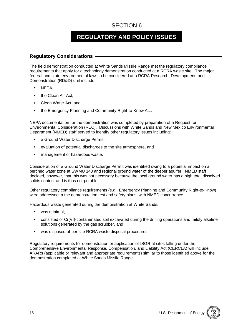# **REGULATORY AND POLICY ISSUES**

### **Regulatory Considerations**

The field demonstration conducted at White Sands Missile Range met the regulatory compliance requirements that apply for a technology demonstration conducted at a RCRA waste site. The major federal and state environmental laws to be considered at a RCRA Research, Development, and Demonstration (RD&D) unit include:

- NEPA,
- the Clean Air Act,
- Clean Water Act, and
- the Emergency Planning and Community Right-to-Know Act.

NEPA documentation for the demonstration was completed by preparation of a Request for Environmental Consideration (REC). Discussions with White Sands and New Mexico Environmental Department (NMED) staff served to identify other regulatory issues including:

- a Ground Water Discharge Permit,
- evaluation of potential discharges to the site atmosphere, and
- management of hazardous waste.

Consideration of a Ground Water Discharge Permit was identified owing to a potential impact on a perched water zone at SWMU 143 and regional ground water of the deeper aquifer. NMED staff decided, however, that this was not necessary because the local ground water has a high total dissolved solids content and is thus not potable.

Other regulatory compliance requirements (e.g., Emergency Planning and Community Right-to-Know) were addressed in the demonstration test and safety plans, with NMED concurrence.

Hazardous waste generated during the demonstration at White Sands:

- was minimal.
- consisted of Cr(VI)-contaminated soil excavated during the drilling operations and mildly alkaline solutions generated by the gas scrubber, and
- was disposed of per site RCRA waste disposal procedures.

Regulatory requirements for demonstration or application of ISGR at sites falling under the Comprehensive Environmental Response, Compensation, and Liability Act (CERCLA) will include ARARs (applicable or relevant and appropriate requirements) similar to those identified above for the demonstration completed at White Sands Missile Range.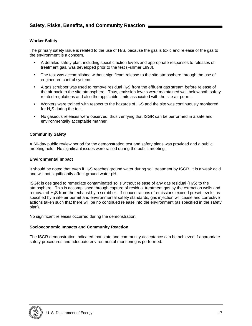#### **Worker Safety**

The primary safety issue is related to the use of  $H_2S$ , because the gas is toxic and release of the gas to the environment is a concern.

- A detailed safety plan, including specific action levels and appropriate responses to releases of treatment gas, was developed prior to the test (Fullmer 1998).
- The test was accomplished without significant release to the site atmosphere through the use of engineered control systems.
- A gas scrubber was used to remove residual  $H_2S$  from the effluent gas stream before release of the air back to the site atmosphere. Thus, emission levels were maintained well below both safetyrelated regulations and also the applicable limits associated with the site air permit.
- Workers were trained with respect to the hazards of H2S and the site was continuously monitored for  $H_2S$  during the test.
- No gaseous releases were observed, thus verifying that ISGR can be performed in a safe and environmentally acceptable manner.

#### **Community Safety**

A 60-day public review period for the demonstration test and safety plans was provided and a public meeting held. No significant issues were raised during the public meeting.

#### **Environmental Impact**

It should be noted that even if H<sub>2</sub>S reaches ground water during soil treatment by ISGR, it is a weak acid and will not significantly affect ground water pH.

ISGR is designed to remediate contaminated soils without release of any gas residual (H<sub>2</sub>S) to the atmosphere. This is accomplished through capture of residual treatment gas by the extraction wells and removal of  $H_2S$  from the exhaust by a scrubber. If concentrations of emissions exceed preset levels, as specified by a site air permit and environmental safety standards, gas injection will cease and corrective actions taken such that there will be no continued release into the environment (as specified in the safety plan).

No significant releases occurred during the demonstration.

#### **Socioeconomic Impacts and Community Reaction**

The ISGR demonstration indicated that state and community acceptance can be achieved if appropriate safety procedures and adequate environmental monitoring is performed.

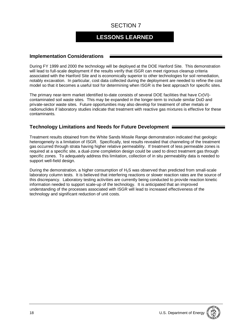# **LESSONS LEARNED**

## **Implementation Considerations**

During FY 1999 and 2000 the technology will be deployed at the DOE Hanford Site. This demonstration will lead to full-scale deployment if the results verify that ISGR can meet rigorous cleanup criteria associated with the Hanford Site and is economically superior to other technologies for soil remediation, notably excavation. In particular, cost data collected during the deployment are needed to refine the cost model so that it becomes a useful tool for determining when ISGR is the best approach for specific sites.

The primary near-term market identified to-date consists of several DOE facilities that have Cr(VI) contaminated soil waste sites. This may be expanded in the longer-term to include similar DoD and private-sector waste sites. Future opportunities may also develop for treatment of other metals or radionuclides if laboratory studies indicate that treatment with reactive gas mixtures is effective for these contaminants.

## **Technology Limitations and Needs for Future Development**

Treatment results obtained from the White Sands Missile Range demonstration indicated that geologic heterogeneity is a limitation of ISGR. Specifically, test results revealed that channeling of the treatment gas occurred through strata having higher relative permeability. If treatment of less permeable zones is required at a specific site, a dual-zone completion design could be used to direct treatment gas through specific zones. To adequately address this limitation, collection of in situ permeability data is needed to support well-field design.

During the demonstration, a higher consumption of H2S was observed than predicted from small-scale laboratory column tests. It is believed that interfering reactions or slower reaction rates are the source of this discrepancy. Laboratory testing activities are currently being conducted to provide reaction kinetic information needed to support scale-up of the technology. It is anticipated that an improved understanding of the processes associated with ISGR will lead to increased effectiveness of the technology and significant reduction of unit costs.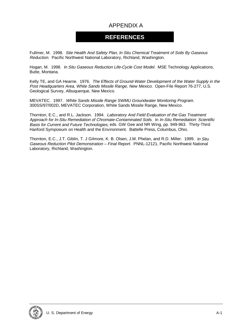# APPENDIX A

## **REFERENCES**

Fullmer, M. 1998. Site Health And Safety Plan, In Situ Chemical Treatment of Soils By Gaseous Reduction. Pacific Northwest National Laboratory, Richland, Washington.

Hogan, M. 1998. In Situ Gaseous Reduction Life-Cycle Cost Model. MSE Technology Applications, Butte, Montana.

Kelly TE, and GA Hearne. 1976. The Effects of Ground-Water Development of the Water Supply in the Post Headquarters Area, White Sands Missile Range, New Mexico. Open-File Report 76-277, U.S. Geological Survey, Albuquerque, New Mexico.

MEVATEC. 1997. White Sands Missile Range SWMU Groundwater Monitoring Program. 300SS/97/002D, MEVATEC Corporation, White Sands Missile Range, New Mexico.

Thornton, E.C., and R.L. Jackson. 1994. Laboratory And Field Evaluation of the Gas Treatment Approach for In-Situ Remediation of Chromate-Contaminated Soils. In In-Situ Remediation: Scientific Basis for Current and Future Technologies, eds. GW Gee and NR Wing, pp. 949-963. Thirty-Third Hanford Symposium on Health and the Environment. Battelle Press, Columbus, Ohio.

Thornton, E.C., J.T. Giblin, T. J Gilmore, K. B. Olsen, J.M. Phelan, and R.D. Miller. 1999. In Situ Gaseous Reduction Pilot Demonstration – Final Report. PNNL-12121, Pacific Northwest National Laboratory, Richland, Washington.